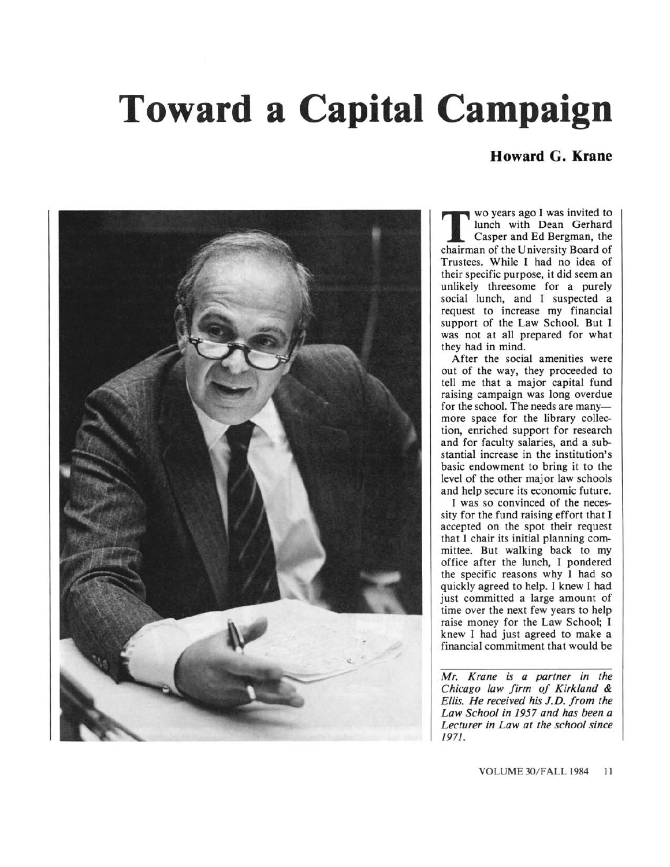## Toward a Capital Campaign

## Howard G. Krane



Casper and Ed Bergman, the wo years ago I was invited to lunch with Dean Gerhard chairman of the University Board of Trustees. While I had no idea of their specific purpose, it did seem an unlikely threesome for <sup>a</sup> purely social lunch, and I suspected <sup>a</sup> request to increase my financial support of the Law School. But I was not at all prepared for what they had in mind.

After the social amenities were out of the way, they proceeded to tell me that a major capital fund raising campaign was long overdue for the school. The needs are manymore space for the library collection, enriched support for research and for faculty salaries, and <sup>a</sup> substantial increase in the institution's basic endowment to bring it to the level of the other major law schools and help secure its economic future.

I was so convinced of the necessity for the fund raising effort that I accepted on the spot their request that I chair its initial planning committee. But walking back to my office after the lunch, I pondered the specific reasons why I had so quickly agreed to help. I knew I had just committed <sup>a</sup> large amount of time over the next few years to help raise money for the Law School; I knew I had just agreed to make <sup>a</sup> financial commitment that would be

Mr. Krane is a partner in the Chicago law firm of Kirkland & Ellis. He received his J.D. from the Law School in 1957 and has been.a Lecturer in Law at the school since 1971.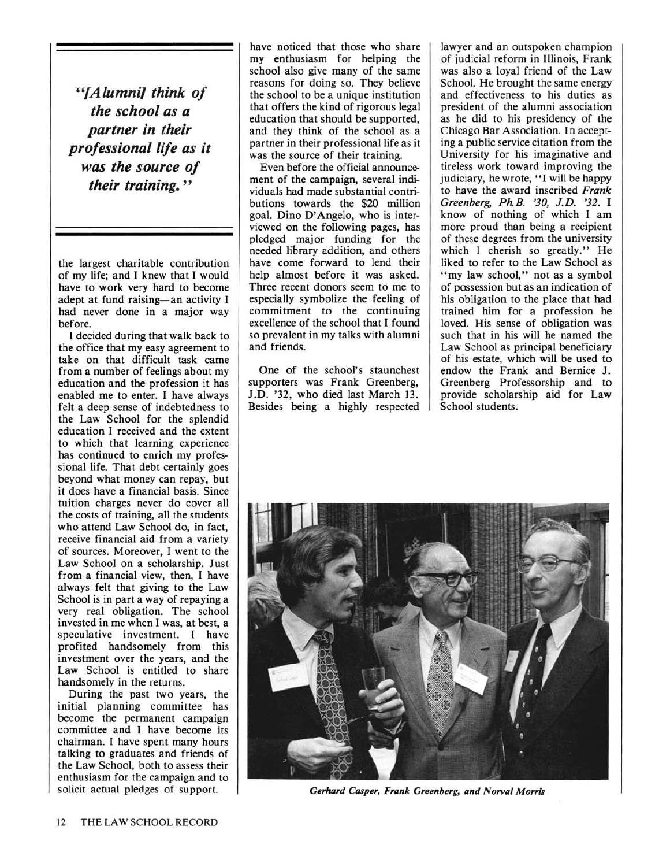"'{Alumni] think of the school as a partner in their professional life as it was the source of their training."

the largest charitable contribution of my life; and I knew that I would have to work very hard to become adept at fund raising-an activity I had never done in a major way before.

I decided during that walk back to the office that my easy agreement to take on that difficult task came from <sup>a</sup> number of feelings about my education and the profession it has enabled me to enter. I have always felt <sup>a</sup> deep sense of indebtedness to the Law School for the splendid education I received and the extent to which that learning experience has continued to enrich my professional life. That debt certainly goes beyond what money can repay, but it does have a financial basis. Since tuition charges never do cover all the costs of training, all the students who attend Law School do, in fact, receive financial aid from <sup>a</sup> variety of sources. Moreover, I went to the Law School on a scholarship. Just from a financial view, then, I have always felt that giving to the Law School is in part <sup>a</sup> way of repaying <sup>a</sup> very real obligation. The school invested in me when I was, at best, a speculative investment. I have profited handsomely from this investment over the years, and the Law School is entitled to share handsomely in the returns.

During the past two years, the initial planning committee has become the permanent campaign committee and I have become its chairman. I have spent many hours talking to graduates and friends of the Law School, both to assess their enthusiasm for the campaign and to solicit actual pledges of support.

have noticed that those who share my enthusiasm for helping the school also give many of the same reasons for doing so. They believe the school to be a unique institution that offers the kind of rigorous legal education that should be supported, and they think of the school as <sup>a</sup> partner in their professional life as it was the source of their training.

Even before the official announcement of the campaign, several individuals had made substantial contributions towards the \$20 million goal. Dino D'Angelo, who is interviewed on the following pages, has pledged major funding for the needed library addition, and others have come forward to lend their help almost before it was asked. Three recent donors seem to me to especially symbolize the feeling of commitment to the continuing excellence of the school that I found so prevalent in my talks with alumni and friends.

One of the school's staunchest supporters was Frank Greenberg, J.D. '32, who died last March 13. Besides being a highly respected

lawyer and an outspoken champion of judicial reform in Illinois, Frank was also <sup>a</sup> loyal friend of the Law School. He brought the same energy and effectiveness to his duties as president of the alumni association as he did to his presidency of the Chicago Bar Association. In accepting <sup>a</sup> public service citation from the University for his imaginative and tireless work toward improving the judiciary, he wrote, "I will be happy to have the award inscribed Frank Greenberg, Ph.B. '30, J.D. '32. I know of nothing of which I am more proud than being a recipient of these degrees from the university which I cherish so greatly." He liked to refer to the Law School as "my law school," not as a symbol of possession but as an indication of his obligation to the place that had trained him for a profession he loved. His sense of obligation was such that in his will he named the Law School as principal beneficiary of his estate, which will be used to endow the Frank and Bernice J. Greenberg Professorship and to provide scholarship aid for Law School students.



Gerhard Casper, Frank Greenberg, and Norval Morris